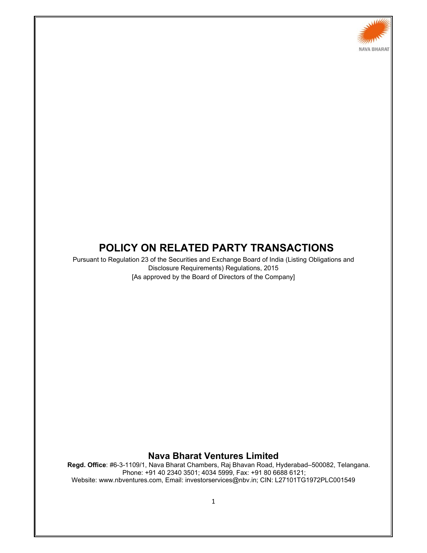

# **POLICY ON RELATED PARTY TRANSACTIONS**

Pursuant to Regulation 23 of the Securities and Exchange Board of India (Listing Obligations and Disclosure Requirements) Regulations, 2015 [As approved by the Board of Directors of the Company]

## **Nava Bharat Ventures Limited**

**Regd. Office**: #6-3-1109/1, Nava Bharat Chambers, Raj Bhavan Road, Hyderabad–500082, Telangana. Phone: +91 40 2340 3501; 4034 5999, Fax: +91 80 6688 6121; Website: www.nbventures.com, Email: investorservices@nbv.in; CIN: L27101TG1972PLC001549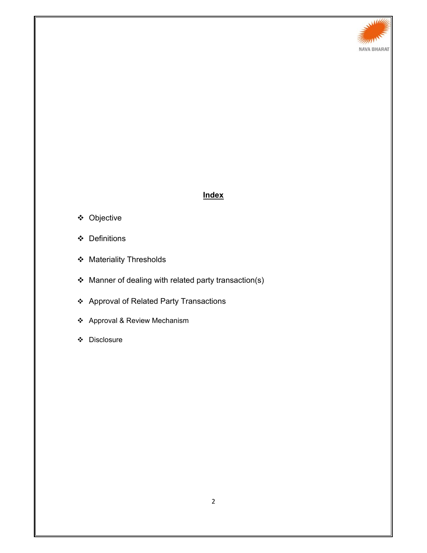

# **Index**

- Objective
- Definitions
- Materiality Thresholds
- Manner of dealing with related party transaction(s)
- Approval of Related Party Transactions
- Approval & Review Mechanism
- Disclosure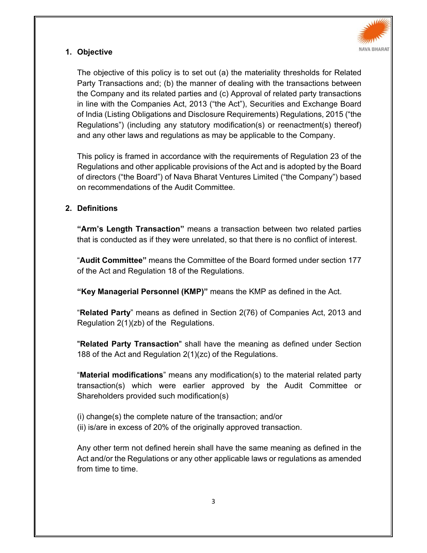

# **1. Objective**

The objective of this policy is to set out (a) the materiality thresholds for Related Party Transactions and; (b) the manner of dealing with the transactions between the Company and its related parties and (c) Approval of related party transactions in line with the Companies Act, 2013 ("the Act"), Securities and Exchange Board of India (Listing Obligations and Disclosure Requirements) Regulations, 2015 ("the Regulations") (including any statutory modification(s) or reenactment(s) thereof) and any other laws and regulations as may be applicable to the Company.

This policy is framed in accordance with the requirements of Regulation 23 of the Regulations and other applicable provisions of the Act and is adopted by the Board of directors ("the Board") of Nava Bharat Ventures Limited ("the Company") based on recommendations of the Audit Committee.

## **2. Definitions**

**"Arm's Length Transaction"** means a transaction between two related parties that is conducted as if they were unrelated, so that there is no conflict of interest.

"**Audit Committee"** means the Committee of the Board formed under section 177 of the Act and Regulation 18 of the Regulations.

**"Key Managerial Personnel (KMP)"** means the KMP as defined in the Act.

"**Related Party**" means as defined in Section 2(76) of Companies Act, 2013 and Regulation 2(1)(zb) of the Regulations.

"**Related Party Transaction**" shall have the meaning as defined under Section 188 of the Act and Regulation 2(1)(zc) of the Regulations.

"**Material modifications**" means any modification(s) to the material related party transaction(s) which were earlier approved by the Audit Committee or Shareholders provided such modification(s)

(i) change(s) the complete nature of the transaction; and/or (ii) is/are in excess of 20% of the originally approved transaction.

Any other term not defined herein shall have the same meaning as defined in the Act and/or the Regulations or any other applicable laws or regulations as amended from time to time.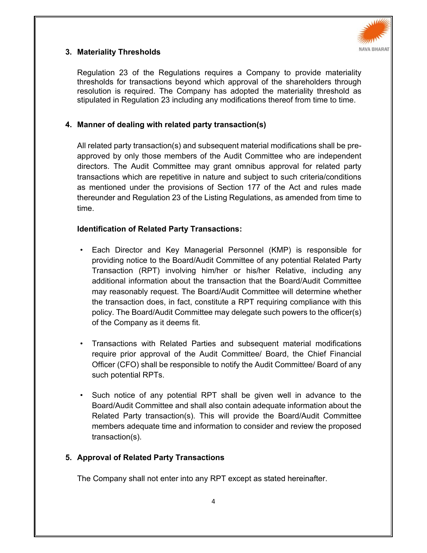

# **3. Materiality Thresholds**

Regulation 23 of the Regulations requires a Company to provide materiality thresholds for transactions beyond which approval of the shareholders through resolution is required. The Company has adopted the materiality threshold as stipulated in Regulation 23 including any modifications thereof from time to time.

## **4. Manner of dealing with related party transaction(s)**

All related party transaction(s) and subsequent material modifications shall be preapproved by only those members of the Audit Committee who are independent directors. The Audit Committee may grant omnibus approval for related party transactions which are repetitive in nature and subject to such criteria/conditions as mentioned under the provisions of Section 177 of the Act and rules made thereunder and Regulation 23 of the Listing Regulations, as amended from time to time.

# **Identification of Related Party Transactions:**

- Each Director and Key Managerial Personnel (KMP) is responsible for providing notice to the Board/Audit Committee of any potential Related Party Transaction (RPT) involving him/her or his/her Relative, including any additional information about the transaction that the Board/Audit Committee may reasonably request. The Board/Audit Committee will determine whether the transaction does, in fact, constitute a RPT requiring compliance with this policy. The Board/Audit Committee may delegate such powers to the officer(s) of the Company as it deems fit.
- Transactions with Related Parties and subsequent material modifications require prior approval of the Audit Committee/ Board, the Chief Financial Officer (CFO) shall be responsible to notify the Audit Committee/ Board of any such potential RPTs.
- Such notice of any potential RPT shall be given well in advance to the Board/Audit Committee and shall also contain adequate information about the Related Party transaction(s). This will provide the Board/Audit Committee members adequate time and information to consider and review the proposed transaction(s).

# **5. Approval of Related Party Transactions**

The Company shall not enter into any RPT except as stated hereinafter.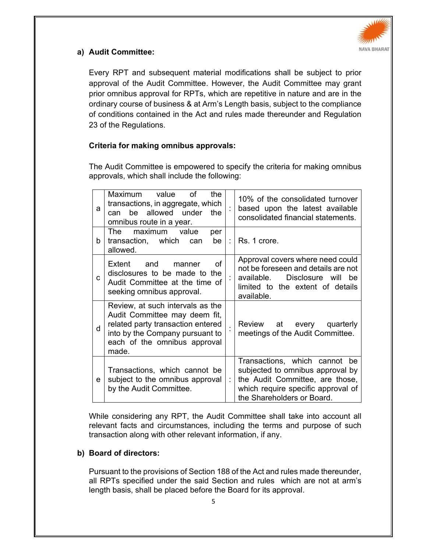

# **a) Audit Committee:**

Every RPT and subsequent material modifications shall be subject to prior approval of the Audit Committee. However, the Audit Committee may grant prior omnibus approval for RPTs, which are repetitive in nature and are in the ordinary course of business & at Arm's Length basis, subject to the compliance of conditions contained in the Act and rules made thereunder and Regulation 23 of the Regulations.

# **Criteria for making omnibus approvals:**

The Audit Committee is empowered to specify the criteria for making omnibus approvals, which shall include the following:

| a            | Maximum value<br>of<br>the<br>transactions, in aggregate, which<br>be allowed under<br>the<br>can<br>omnibus route in a year.                                                      |    | 10% of the consolidated turnover<br>based upon the latest available<br>consolidated financial statements.                                                                |
|--------------|------------------------------------------------------------------------------------------------------------------------------------------------------------------------------------|----|--------------------------------------------------------------------------------------------------------------------------------------------------------------------------|
| b.           | The<br>maximum value<br>per<br>transaction, which can<br>be<br>allowed.                                                                                                            | ÷. | Rs. 1 crore.                                                                                                                                                             |
| C.           | and<br>Ωf<br>Extent<br>manner<br>disclosures to be made to the<br>Audit Committee at the time of<br>seeking omnibus approval.                                                      |    | Approval covers where need could<br>not be foreseen and details are not<br>available.<br>Disclosure will<br>he<br>limited to the extent of details<br>available.         |
| <sub>d</sub> | Review, at such intervals as the<br>Audit Committee may deem fit,<br>related party transaction entered<br>into by the Company pursuant to<br>each of the omnibus approval<br>made. |    | Review at every quarterly<br>meetings of the Audit Committee.                                                                                                            |
| е            | Transactions, which cannot be<br>subject to the omnibus approval<br>by the Audit Committee.                                                                                        | t  | Transactions, which cannot be<br>subjected to omnibus approval by<br>the Audit Committee, are those,<br>which require specific approval of<br>the Shareholders or Board. |

While considering any RPT, the Audit Committee shall take into account all relevant facts and circumstances, including the terms and purpose of such transaction along with other relevant information, if any.

## **b) Board of directors:**

Pursuant to the provisions of Section 188 of the Act and rules made thereunder, all RPTs specified under the said Section and rules which are not at arm's length basis, shall be placed before the Board for its approval.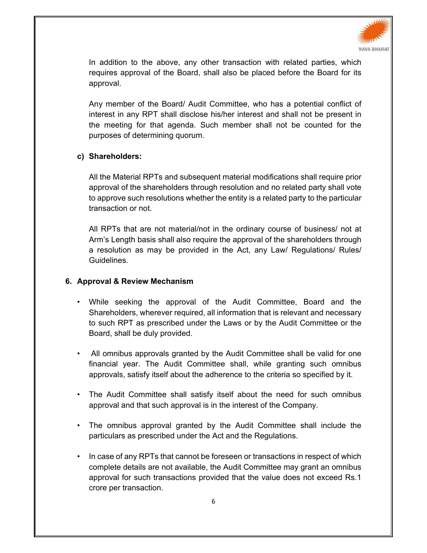

In addition to the above, any other transaction with related parties, which requires approval of the Board, shall also be placed before the Board for its approval.

Any member of the Board/ Audit Committee, who has a potential conflict of interest in any RPT shall disclose his/her interest and shall not be present in the meeting for that agenda. Such member shall not be counted for the purposes of determining quorum.

#### **c) Shareholders:**

All the Material RPTs and subsequent material modifications shall require prior approval of the shareholders through resolution and no related party shall vote to approve such resolutions whether the entity is a related party to the particular transaction or not.

All RPTs that are not material/not in the ordinary course of business/ not at Arm's Length basis shall also require the approval of the shareholders through a resolution as may be provided in the Act, any Law/ Regulations/ Rules/ Guidelines.

#### **6. Approval & Review Mechanism**

- While seeking the approval of the Audit Committee, Board and the Shareholders, wherever required, all information that is relevant and necessary to such RPT as prescribed under the Laws or by the Audit Committee or the Board, shall be duly provided.
- All omnibus approvals granted by the Audit Committee shall be valid for one financial year. The Audit Committee shall, while granting such omnibus approvals, satisfy itself about the adherence to the criteria so specified by it.
- The Audit Committee shall satisfy itself about the need for such omnibus approval and that such approval is in the interest of the Company.
- The omnibus approval granted by the Audit Committee shall include the particulars as prescribed under the Act and the Regulations.
- In case of any RPTs that cannot be foreseen or transactions in respect of which complete details are not available, the Audit Committee may grant an omnibus approval for such transactions provided that the value does not exceed Rs.1 crore per transaction.